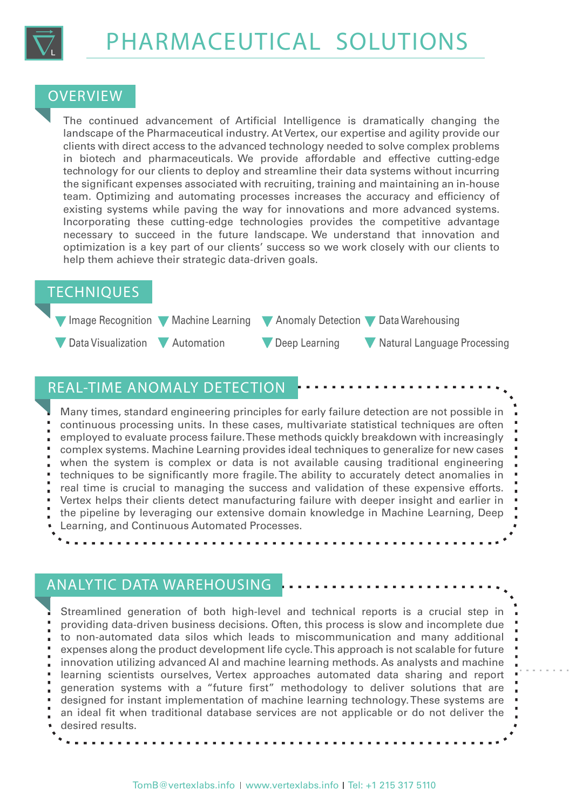

#### **OVERVIEW**

The continued advancement of Artificial Intelligence is dramatically changing the landscape of the Pharmaceutical industry. At Vertex, our expertise and agility provide our clients with direct access to the advanced technology needed to solve complex problems in biotech and pharmaceuticals. We provide affordable and effective cutting-edge technology for our clients to deploy and streamline their data systems without incurring the significant expenses associated with recruiting, training and maintaining an in-house team. Optimizing and automating processes increases the accuracy and efficiency of existing systems while paving the way for innovations and more advanced systems. Incorporating these cutting-edge technologies provides the competitive advantage necessary to succeed in the future landscape. We understand that innovation and optimization is a key part of our clients' success so we work closely with our clients to help them achieve their strategic data-driven goals.

#### TECHNIQUES



## REAL-TIME ANOMALY DETECTION

Many times, standard engineering principles for early failure detection are not possible in continuous processing units. In these cases, multivariate statistical techniques are often employed to evaluate process failure. These methods quickly breakdown with increasingly complex systems. Machine Learning provides ideal techniques to generalize for new cases when the system is complex or data is not available causing traditional engineering techniques to be significantly more fragile. The ability to accurately detect anomalies in real time is crucial to managing the success and validation of these expensive efforts. Vertex helps their clients detect manufacturing failure with deeper insight and earlier in the pipeline by leveraging our extensive domain knowledge in Machine Learning, Deep Learning, and Continuous Automated Processes.

## ANALYTIC DATA WAREHOUSING

Streamlined generation of both high-level and technical reports is a crucial step in providing data-driven business decisions. Often, this process is slow and incomplete due to non-automated data silos which leads to miscommunication and many additional expenses along the product development life cycle. This approach is not scalable for future innovation utilizing advanced AI and machine learning methods. As analysts and machine learning scientists ourselves, Vertex approaches automated data sharing and report generation systems with a "future first" methodology to deliver solutions that are designed for instant implementation of machine learning technology. These systems are an ideal fit when traditional database services are not applicable or do not deliver the desired results.